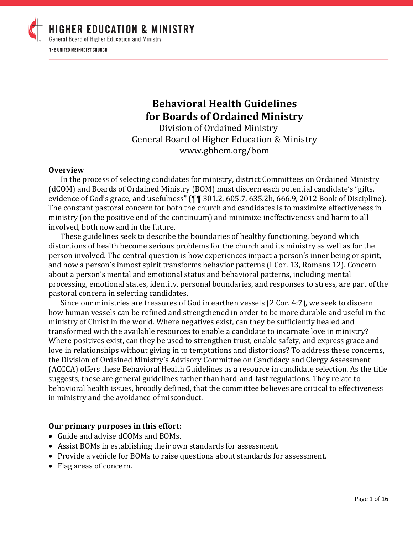

## **Behavioral Health Guidelines for Boards of Ordained Ministry**

Division of Ordained Ministry General Board of Higher Education & Ministry www.gbhem.org/bom

#### **Overview**

In the process of selecting candidates for ministry, district Committees on Ordained Ministry (dCOM) and Boards of Ordained Ministry (BOM) must discern each potential candidate's "gifts, evidence of God's grace, and usefulness" (¶¶ 301.2, 605.7, 635.2h, 666.9, 2012 Book of Discipline). The constant pastoral concern for both the church and candidates is to maximize effectiveness in ministry (on the positive end of the continuum) and minimize ineffectiveness and harm to all involved, both now and in the future.

These guidelines seek to describe the boundaries of healthy functioning, beyond which distortions of health become serious problems for the church and its ministry as well as for the person involved. The central question is how experiences impact a person's inner being or spirit, and how a person's inmost spirit transforms behavior patterns (I Cor. 13, Romans 12). Concern about a person's mental and emotional status and behavioral patterns, including mental processing, emotional states, identity, personal boundaries, and responses to stress, are part of the pastoral concern in selecting candidates.

Since our ministries are treasures of God in earthen vessels (2 Cor. 4:7), we seek to discern how human vessels can be refined and strengthened in order to be more durable and useful in the ministry of Christ in the world. Where negatives exist, can they be sufficiently healed and transformed with the available resources to enable a candidate to incarnate love in ministry? Where positives exist, can they be used to strengthen trust, enable safety, and express grace and love in relationships without giving in to temptations and distortions? To address these concerns, the Division of Ordained Ministry's Advisory Committee on Candidacy and Clergy Assessment (ACCCA) offers these Behavioral Health Guidelines as a resource in candidate selection. As the title suggests, these are general guidelines rather than hard-and-fast regulations. They relate to behavioral health issues, broadly defined, that the committee believes are critical to effectiveness in ministry and the avoidance of misconduct.

#### **Our primary purposes in this effort:**

- Guide and advise dCOMs and BOMs.
- Assist BOMs in establishing their own standards for assessment.
- Provide a vehicle for BOMs to raise questions about standards for assessment.
- Flag areas of concern.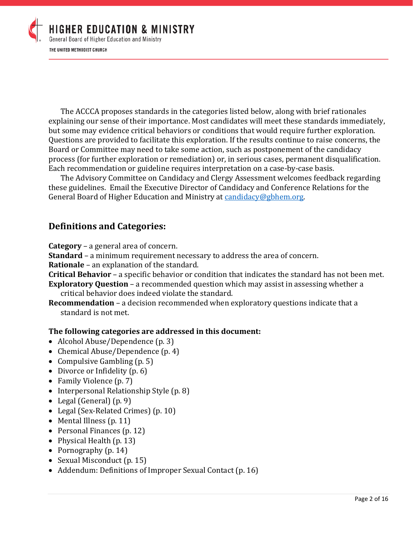

The ACCCA proposes standards in the categories listed below, along with brief rationales explaining our sense of their importance. Most candidates will meet these standards immediately, but some may evidence critical behaviors or conditions that would require further exploration. Questions are provided to facilitate this exploration. If the results continue to raise concerns, the Board or Committee may need to take some action, such as postponement of the candidacy process (for further exploration or remediation) or, in serious cases, permanent disqualification. Each recommendation or guideline requires interpretation on a case-by-case basis.

The Advisory Committee on Candidacy and Clergy Assessment welcomes feedback regarding these guidelines. Email the Executive Director of Candidacy and Conference Relations for the General Board of Higher Education and Ministry at [candidacy@gbhem.org.](mailto:candidacy@gbhem.org)

## **Definitions and Categories:**

**Category** – a general area of concern.

**Standard** – a minimum requirement necessary to address the area of concern.

**Rationale** – an explanation of the standard.

**Critical Behavior** – a specific behavior or condition that indicates the standard has not been met.

- **Exploratory Question** a recommended question which may assist in assessing whether a critical behavior does indeed violate the standard.
- **Recommendation** a decision recommended when exploratory questions indicate that a standard is not met.

## **The following categories are addressed in this document:**

- Alcohol Abuse/Dependence (p. 3)
- Chemical Abuse/Dependence (p. 4)
- Compulsive Gambling (p. 5)
- Divorce or Infidelity (p. 6)
- Family Violence (p. 7)
- Interpersonal Relationship Style (p. 8)
- Legal (General) (p. 9)
- Legal (Sex-Related Crimes) (p. 10)
- Mental Illness (p. 11)
- Personal Finances (p. 12)
- Physical Health (p. 13)
- Pornography (p. 14)
- Sexual Misconduct (p. 15)
- Addendum: Definitions of Improper Sexual Contact (p. 16)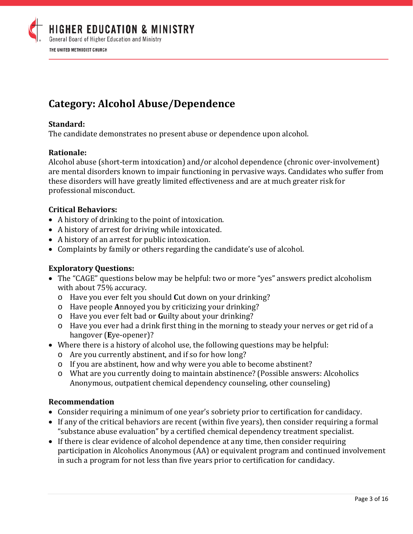

# **Category: Alcohol Abuse/Dependence**

### **Standard:**

The candidate demonstrates no present abuse or dependence upon alcohol.

#### **Rationale:**

Alcohol abuse (short-term intoxication) and/or alcohol dependence (chronic over-involvement) are mental disorders known to impair functioning in pervasive ways. Candidates who suffer from these disorders will have greatly limited effectiveness and are at much greater risk for professional misconduct.

#### **Critical Behaviors:**

- A history of drinking to the point of intoxication.
- A history of arrest for driving while intoxicated.
- A history of an arrest for public intoxication.
- Complaints by family or others regarding the candidate's use of alcohol.

#### **Exploratory Questions:**

- The "CAGE" questions below may be helpful: two or more "yes" answers predict alcoholism with about 75% accuracy.
	- o Have you ever felt you should **C**ut down on your drinking?
	- o Have people **A**nnoyed you by criticizing your drinking?
	- o Have you ever felt bad or **G**uilty about your drinking?
	- o Have you ever had a drink first thing in the morning to steady your nerves or get rid of a hangover (**E**ye-opener)?
- Where there is a history of alcohol use, the following questions may be helpful:
	- o Are you currently abstinent, and if so for how long?
	- o If you are abstinent, how and why were you able to become abstinent?
	- o What are you currently doing to maintain abstinence? (Possible answers: Alcoholics Anonymous, outpatient chemical dependency counseling, other counseling)

- Consider requiring a minimum of one year's sobriety prior to certification for candidacy.
- If any of the critical behaviors are recent (within five years), then consider requiring a formal "substance abuse evaluation" by a certified chemical dependency treatment specialist.
- If there is clear evidence of alcohol dependence at any time, then consider requiring participation in Alcoholics Anonymous (AA) or equivalent program and continued involvement in such a program for not less than five years prior to certification for candidacy.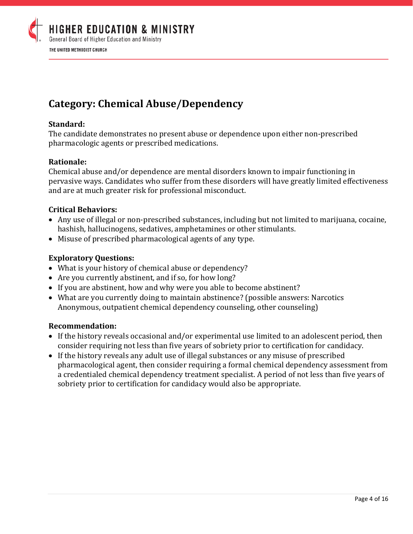

# **Category: Chemical Abuse/Dependency**

### **Standard:**

The candidate demonstrates no present abuse or dependence upon either non-prescribed pharmacologic agents or prescribed medications.

#### **Rationale:**

Chemical abuse and/or dependence are mental disorders known to impair functioning in pervasive ways. Candidates who suffer from these disorders will have greatly limited effectiveness and are at much greater risk for professional misconduct.

## **Critical Behaviors:**

- Any use of illegal or non-prescribed substances, including but not limited to marijuana, cocaine, hashish, hallucinogens, sedatives, amphetamines or other stimulants.
- Misuse of prescribed pharmacological agents of any type.

#### **Exploratory Questions:**

- What is your history of chemical abuse or dependency?
- Are you currently abstinent, and if so, for how long?
- If you are abstinent, how and why were you able to become abstinent?
- What are you currently doing to maintain abstinence? (possible answers: Narcotics Anonymous, outpatient chemical dependency counseling, other counseling)

- If the history reveals occasional and/or experimental use limited to an adolescent period, then consider requiring not less than five years of sobriety prior to certification for candidacy.
- If the history reveals any adult use of illegal substances or any misuse of prescribed pharmacological agent, then consider requiring a formal chemical dependency assessment from a credentialed chemical dependency treatment specialist. A period of not less than five years of sobriety prior to certification for candidacy would also be appropriate.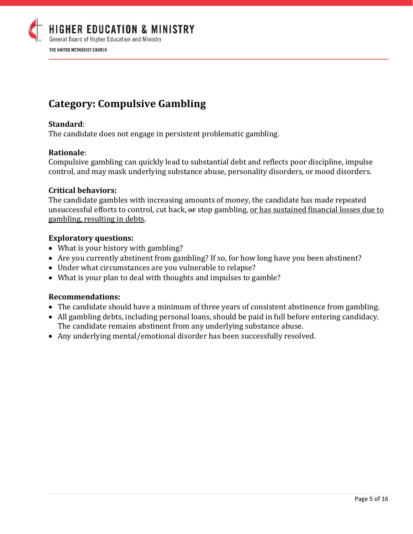

## **Category: Compulsive Gambling**

### **Standard**:

The candidate does not engage in persistent problematic gambling.

#### **Rationale**:

Compulsive gambling can quickly lead to substantial debt and reflects poor discipline, impulse control, and may mask underlying substance abuse, personality disorders, or mood disorders.

#### **Critical behaviors:**

The candidate gambles with increasing amounts of money, the candidate has made repeated unsuccessful efforts to control, cut back,  $\theta$  are stop gambling, or has sustained financial losses due to gambling, resulting in debts.

#### **Exploratory questions:**

- What is your history with gambling?
- Are you currently abstinent from gambling? If so, for how long have you been abstinent?
- Under what circumstances are you vulnerable to relapse?
- What is your plan to deal with thoughts and impulses to gamble?

- The candidate should have a minimum of three years of consistent abstinence from gambling.
- All gambling debts, including personal loans, should be paid in full before entering candidacy. The candidate remains abstinent from any underlying substance abuse.
- Any underlying mental/emotional disorder has been successfully resolved.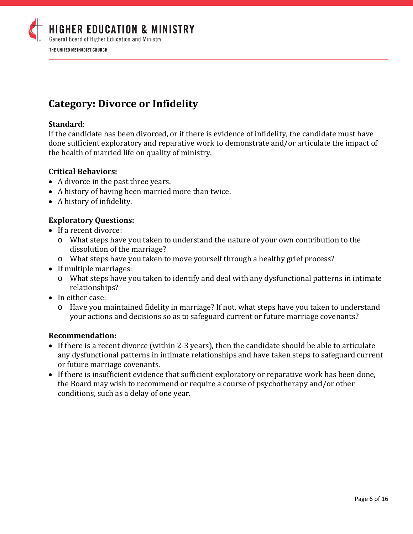

# **Category: Divorce or Infidelity**

### **Standard**:

If the candidate has been divorced, or if there is evidence of infidelity, the candidate must have done sufficient exploratory and reparative work to demonstrate and/or articulate the impact of the health of married life on quality of ministry.

#### **Critical Behaviors:**

- A divorce in the past three years.
- A history of having been married more than twice.
- A history of infidelity.

## **Exploratory Questions:**

- If a recent divorce:
	- o What steps have you taken to understand the nature of your own contribution to the dissolution of the marriage?
	- o What steps have you taken to move yourself through a healthy grief process?
- If multiple marriages:
	- o What steps have you taken to identify and deal with any dysfunctional patterns in intimate relationships?
- In either case:
	- o Have you maintained fidelity in marriage? If not, what steps have you taken to understand your actions and decisions so as to safeguard current or future marriage covenants?

- If there is a recent divorce (within 2-3 years), then the candidate should be able to articulate any dysfunctional patterns in intimate relationships and have taken steps to safeguard current or future marriage covenants.
- If there is insufficient evidence that sufficient exploratory or reparative work has been done, the Board may wish to recommend or require a course of psychotherapy and/or other conditions, such as a delay of one year.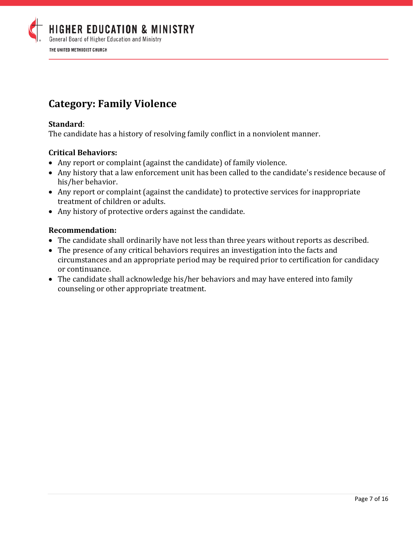

## **Category: Family Violence**

### **Standard**:

The candidate has a history of resolving family conflict in a nonviolent manner.

## **Critical Behaviors:**

- Any report or complaint (against the candidate) of family violence.
- Any history that a law enforcement unit has been called to the candidate's residence because of his/her behavior.
- Any report or complaint (against the candidate) to protective services for inappropriate treatment of children or adults.
- Any history of protective orders against the candidate.

- The candidate shall ordinarily have not less than three years without reports as described.
- The presence of any critical behaviors requires an investigation into the facts and circumstances and an appropriate period may be required prior to certification for candidacy or continuance.
- The candidate shall acknowledge his/her behaviors and may have entered into family counseling or other appropriate treatment.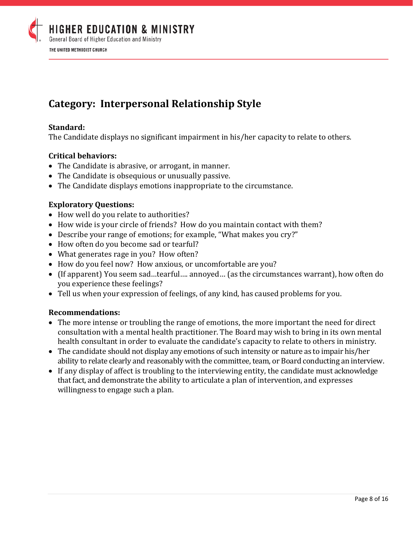

## **Category: Interpersonal Relationship Style**

### **Standard:**

The Candidate displays no significant impairment in his/her capacity to relate to others.

#### **Critical behaviors:**

- The Candidate is abrasive, or arrogant, in manner.
- The Candidate is obsequious or unusually passive.
- The Candidate displays emotions inappropriate to the circumstance.

#### **Exploratory Questions:**

- How well do you relate to authorities?
- How wide is your circle of friends? How do you maintain contact with them?
- Describe your range of emotions; for example, "What makes you cry?"
- How often do you become sad or tearful?
- What generates rage in you? How often?
- How do you feel now? How anxious, or uncomfortable are you?
- (If apparent) You seem sad…tearful…. annoyed… (as the circumstances warrant), how often do you experience these feelings?
- Tell us when your expression of feelings, of any kind, has caused problems for you.

- The more intense or troubling the range of emotions, the more important the need for direct consultation with a mental health practitioner. The Board may wish to bring in its own mental health consultant in order to evaluate the candidate's capacity to relate to others in ministry.
- The candidate should not display any emotions of such intensity or nature as to impair his/her ability to relate clearly and reasonably with the committee, team, or Board conducting an interview.
- If any display of affect is troubling to the interviewing entity, the candidate must acknowledge that fact, and demonstrate the ability to articulate a plan of intervention, and expresses willingness to engage such a plan.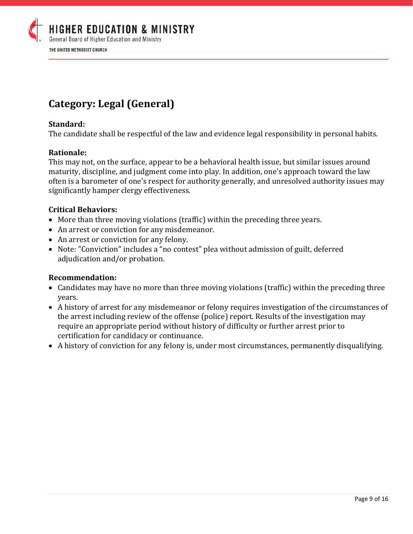

## **Category: Legal (General)**

#### **Standard:**

The candidate shall be respectful of the law and evidence legal responsibility in personal habits.

#### **Rationale:**

This may not, on the surface, appear to be a behavioral health issue, but similar issues around maturity, discipline, and judgment come into play. In addition, one's approach toward the law often is a barometer of one's respect for authority generally, and unresolved authority issues may significantly hamper clergy effectiveness.

#### **Critical Behaviors:**

- More than three moving violations (traffic) within the preceding three years.
- An arrest or conviction for any misdemeanor.
- An arrest or conviction for any felony.
- Note: "Conviction" includes a "no contest" plea without admission of guilt, deferred adjudication and/or probation.

- Candidates may have no more than three moving violations (traffic) within the preceding three years.
- A history of arrest for any misdemeanor or felony requires investigation of the circumstances of the arrest including review of the offense (police) report. Results of the investigation may require an appropriate period without history of difficulty or further arrest prior to certification for candidacy or continuance.
- A history of conviction for any felony is, under most circumstances, permanently disqualifying.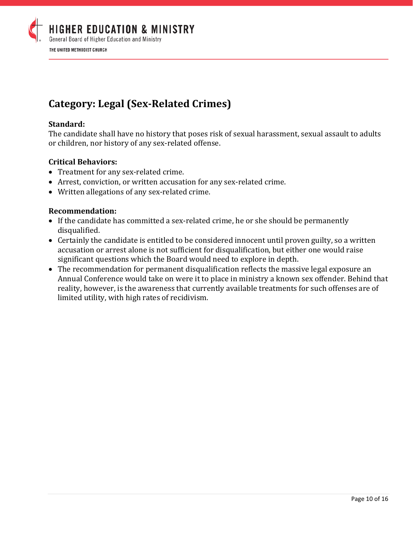

# **Category: Legal (Sex-Related Crimes)**

### **Standard:**

The candidate shall have no history that poses risk of sexual harassment, sexual assault to adults or children, nor history of any sex-related offense.

#### **Critical Behaviors:**

- Treatment for any sex-related crime.
- Arrest, conviction, or written accusation for any sex-related crime.
- Written allegations of any sex-related crime.

- If the candidate has committed a sex-related crime, he or she should be permanently disqualified.
- Certainly the candidate is entitled to be considered innocent until proven guilty, so a written accusation or arrest alone is not sufficient for disqualification, but either one would raise significant questions which the Board would need to explore in depth.
- The recommendation for permanent disqualification reflects the massive legal exposure an Annual Conference would take on were it to place in ministry a known sex offender. Behind that reality, however, is the awareness that currently available treatments for such offenses are of limited utility, with high rates of recidivism.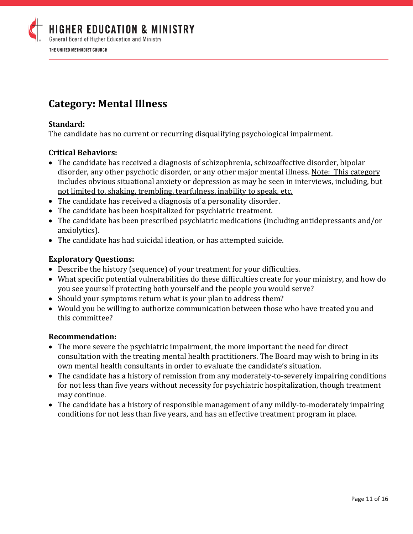

## **Category: Mental Illness**

## **Standard:**

The candidate has no current or recurring disqualifying psychological impairment.

## **Critical Behaviors:**

- The candidate has received a diagnosis of schizophrenia, schizoaffective disorder, bipolar disorder, any other psychotic disorder, or any other major mental illness. Note: This category includes obvious situational anxiety or depression as may be seen in interviews, including, but not limited to, shaking, trembling, tearfulness, inability to speak, etc.
- The candidate has received a diagnosis of a personality disorder.
- The candidate has been hospitalized for psychiatric treatment.
- The candidate has been prescribed psychiatric medications (including antidepressants and/or anxiolytics).
- The candidate has had suicidal ideation, or has attempted suicide.

## **Exploratory Questions:**

- Describe the history (sequence) of your treatment for your difficulties.
- What specific potential vulnerabilities do these difficulties create for your ministry, and how do you see yourself protecting both yourself and the people you would serve?
- Should your symptoms return what is your plan to address them?
- Would you be willing to authorize communication between those who have treated you and this committee?

- The more severe the psychiatric impairment, the more important the need for direct consultation with the treating mental health practitioners. The Board may wish to bring in its own mental health consultants in order to evaluate the candidate's situation.
- The candidate has a history of remission from any moderately-to-severely impairing conditions for not less than five years without necessity for psychiatric hospitalization, though treatment may continue.
- The candidate has a history of responsible management of any mildly-to-moderately impairing conditions for not less than five years, and has an effective treatment program in place.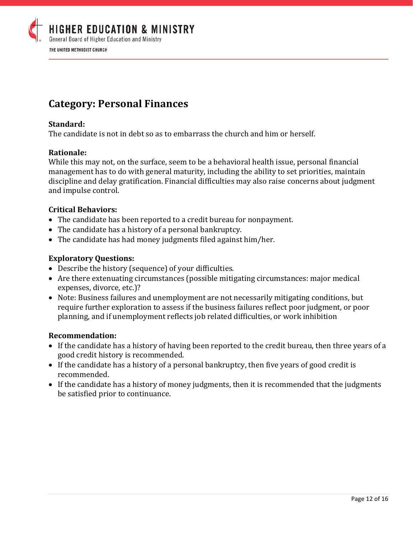

## **Category: Personal Finances**

## **Standard:**

The candidate is not in debt so as to embarrass the church and him or herself.

## **Rationale:**

While this may not, on the surface, seem to be a behavioral health issue, personal financial management has to do with general maturity, including the ability to set priorities, maintain discipline and delay gratification. Financial difficulties may also raise concerns about judgment and impulse control.

## **Critical Behaviors:**

- The candidate has been reported to a credit bureau for nonpayment.
- The candidate has a history of a personal bankruptcy.
- The candidate has had money judgments filed against him/her.

## **Exploratory Questions:**

- Describe the history (sequence) of your difficulties.
- Are there extenuating circumstances (possible mitigating circumstances: major medical expenses, divorce, etc.)?
- Note: Business failures and unemployment are not necessarily mitigating conditions, but require further exploration to assess if the business failures reflect poor judgment, or poor planning, and if unemployment reflects job related difficulties, or work inhibition

- If the candidate has a history of having been reported to the credit bureau, then three years of a good credit history is recommended.
- If the candidate has a history of a personal bankruptcy, then five years of good credit is recommended.
- If the candidate has a history of money judgments, then it is recommended that the judgments be satisfied prior to continuance.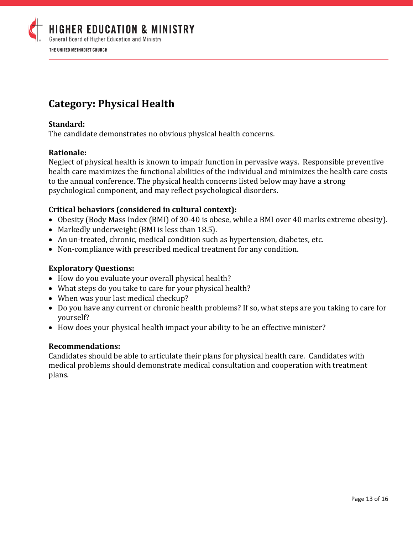

## **Category: Physical Health**

### **Standard:**

The candidate demonstrates no obvious physical health concerns.

#### **Rationale:**

Neglect of physical health is known to impair function in pervasive ways. Responsible preventive health care maximizes the functional abilities of the individual and minimizes the health care costs to the annual conference. The physical health concerns listed below may have a strong psychological component, and may reflect psychological disorders.

#### **Critical behaviors (considered in cultural context):**

- Obesity (Body Mass Index (BMI) of 30-40 is obese, while a BMI over 40 marks extreme obesity).
- Markedly underweight (BMI is less than 18.5).
- An un-treated, chronic, medical condition such as hypertension, diabetes, etc.
- Non-compliance with prescribed medical treatment for any condition.

#### **Exploratory Questions:**

- How do you evaluate your overall physical health?
- What steps do you take to care for your physical health?
- When was your last medical checkup?
- Do you have any current or chronic health problems? If so, what steps are you taking to care for yourself?
- How does your physical health impact your ability to be an effective minister?

#### **Recommendations:**

Candidates should be able to articulate their plans for physical health care. Candidates with medical problems should demonstrate medical consultation and cooperation with treatment plans.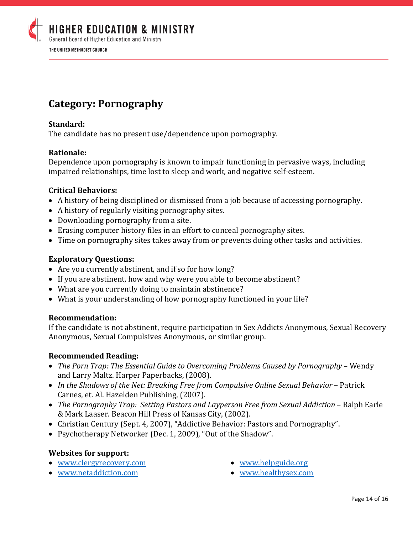

## **Category: Pornography**

### **Standard:**

The candidate has no present use/dependence upon pornography.

#### **Rationale:**

Dependence upon pornography is known to impair functioning in pervasive ways, including impaired relationships, time lost to sleep and work, and negative self-esteem.

#### **Critical Behaviors:**

- A history of being disciplined or dismissed from a job because of accessing pornography.
- A history of regularly visiting pornography sites.
- Downloading pornography from a site.
- Erasing computer history files in an effort to conceal pornography sites.
- Time on pornography sites takes away from or prevents doing other tasks and activities.

#### **Exploratory Questions:**

- Are you currently abstinent, and if so for how long?
- If you are abstinent, how and why were you able to become abstinent?
- What are you currently doing to maintain abstinence?
- What is your understanding of how pornography functioned in your life?

#### **Recommendation:**

If the candidate is not abstinent, require participation in Sex Addicts Anonymous, Sexual Recovery Anonymous, Sexual Compulsives Anonymous, or similar group.

#### **Recommended Reading:**

- *The Porn Trap: The Essential Guide to Overcoming Problems Caused by Pornography* Wendy and Larry Maltz. Harper Paperbacks, (2008).
- *In the Shadows of the Net: Breaking Free from Compulsive Online Sexual Behavior* Patrick Carnes, et. Al. Hazelden Publishing, (2007).
- *The Pornography Trap: Setting Pastors and Layperson Free from Sexual Addiction* Ralph Earle & Mark Laaser. Beacon Hill Press of Kansas City, (2002).
- Christian Century (Sept. 4, 2007), "Addictive Behavior: Pastors and Pornography".
- Psychotherapy Networker (Dec. 1, 2009), "Out of the Shadow".

#### **Websites for support:**

- [www.clergyrecovery.com](http://www.clergyrecovery.com/)
- [www.netaddiction.com](http://www.netaddiction.com/)
- [www.helpguide.org](http://www.helpguide.org/)
- [www.healthysex.com](http://www.healthysex.com/)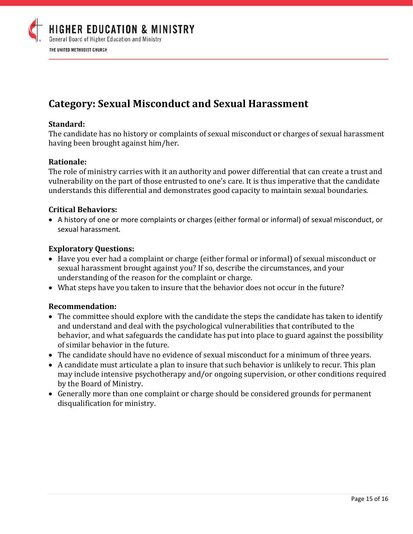

## **Category: Sexual Misconduct and Sexual Harassment**

#### **Standard:**

The candidate has no history or complaints of sexual misconduct or charges of sexual harassment having been brought against him/her.

#### **Rationale:**

The role of ministry carries with it an authority and power differential that can create a trust and vulnerability on the part of those entrusted to one's care. It is thus imperative that the candidate understands this differential and demonstrates good capacity to maintain sexual boundaries.

#### **Critical Behaviors:**

• A history of one or more complaints or charges (either formal or informal) of sexual misconduct, or sexual harassment.

#### **Exploratory Questions:**

- Have you ever had a complaint or charge (either formal or informal) of sexual misconduct or sexual harassment brought against you? If so, describe the circumstances, and your understanding of the reason for the complaint or charge.
- What steps have you taken to insure that the behavior does not occur in the future?

- The committee should explore with the candidate the steps the candidate has taken to identify and understand and deal with the psychological vulnerabilities that contributed to the behavior, and what safeguards the candidate has put into place to guard against the possibility of similar behavior in the future.
- The candidate should have no evidence of sexual misconduct for a minimum of three years.
- A candidate must articulate a plan to insure that such behavior is unlikely to recur. This plan may include intensive psychotherapy and/or ongoing supervision, or other conditions required by the Board of Ministry.
- Generally more than one complaint or charge should be considered grounds for permanent disqualification for ministry.